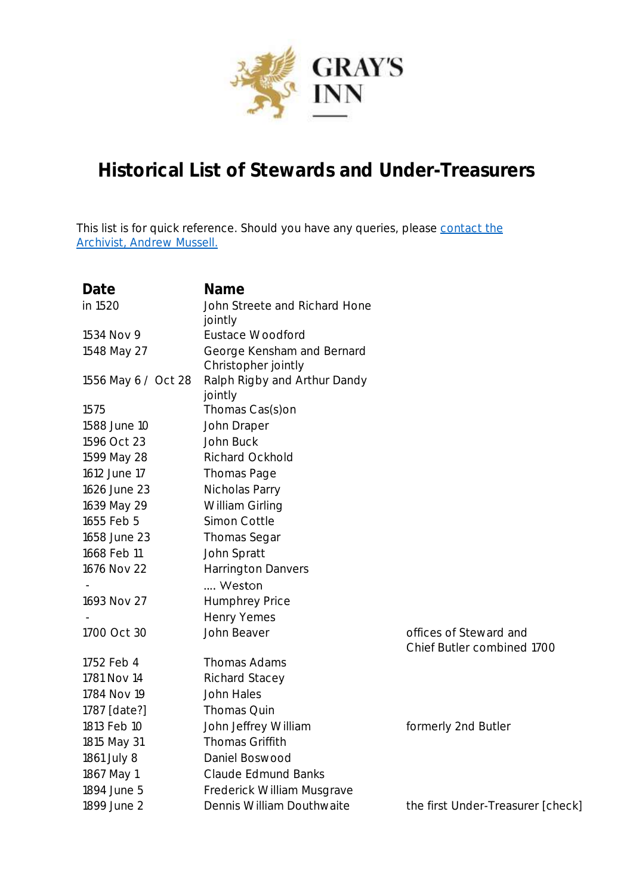

## **Historical List of Stewards and Under-Treasurers**

This list is for quick reference. Should you have any queries, please contact the [Archivist, Andrew Mussell.](mailto:andrew.mussell@graysinn.org.uk)

| Date                | Name                          |                                   |
|---------------------|-------------------------------|-----------------------------------|
| in 1520             | John Streete and Richard Hone |                                   |
|                     | jointly                       |                                   |
| 1534 Nov 9          | <b>Eustace Woodford</b>       |                                   |
| 1548 May 27         | George Kensham and Bernard    |                                   |
|                     | Christopher jointly           |                                   |
| 1556 May 6 / Oct 28 | Ralph Rigby and Arthur Dandy  |                                   |
|                     | jointly                       |                                   |
| 1575                | Thomas Cas(s)on               |                                   |
| 1588 June 10        | John Draper                   |                                   |
| 1596 Oct 23         | John Buck                     |                                   |
| 1599 May 28         | Richard Ockhold               |                                   |
| 1612 June 17        | Thomas Page                   |                                   |
| 1626 June 23        | Nicholas Parry                |                                   |
| 1639 May 29         | William Girling               |                                   |
| 1655 Feb 5          | Simon Cottle                  |                                   |
| 1658 June 23        | Thomas Segar                  |                                   |
| 1668 Feb 11         | John Spratt                   |                                   |
| 1676 Nov 22         | <b>Harrington Danvers</b>     |                                   |
|                     | Weston                        |                                   |
| 1693 Nov 27         | <b>Humphrey Price</b>         |                                   |
|                     | Henry Yemes                   |                                   |
| 1700 Oct 30         | John Beaver                   | offices of Steward and            |
|                     |                               | Chief Butler combined 1700        |
| 1752 Feb 4          | Thomas Adams                  |                                   |
| 1781 Nov 14         | <b>Richard Stacey</b>         |                                   |
| 1784 Nov 19         | John Hales                    |                                   |
| 1787 [date?]        | Thomas Quin                   |                                   |
| 1813 Feb 10         | John Jeffrey William          | formerly 2nd Butler               |
| 1815 May 31         | Thomas Griffith               |                                   |
| 1861 July 8         | Daniel Boswood                |                                   |
| 1867 May 1          | Claude Edmund Banks           |                                   |
| 1894 June 5         | Frederick William Musgrave    |                                   |
| 1899 June 2         | Dennis William Douthwaite     | the first Under-Treasurer [check] |